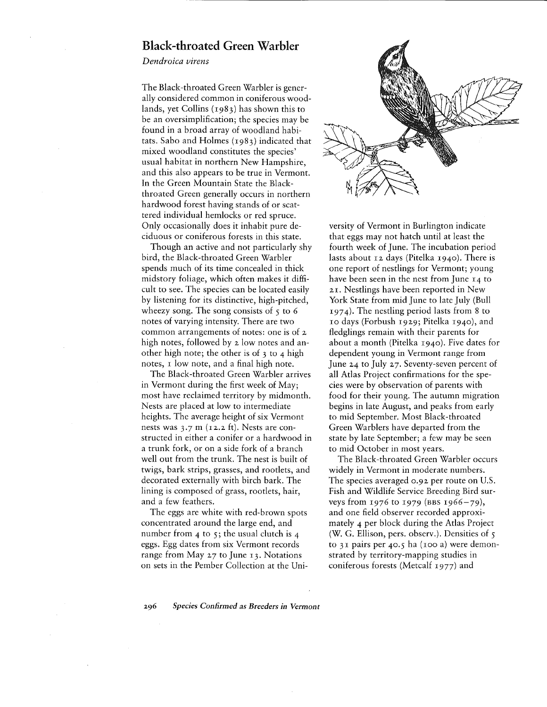## **Black-throated Green Warbler**

*Dendroica virens*

The Black-throated Green Warbler is generally considered common in coniferous woodlands, yet Collins (1983) has shown this to be an oversimplification; the species may be found in a broad array of woodland habitats. Sabo and Holmes (1983) indicated that mixed woodland constitutes the species' usual habitat in northern New Hampshire, and this also appears to be true in Vermont. In the Green Mountain State the Blackthroated Green generally occurs in northern hardwood forest having stands of or scattered individual hemlocks or red spruce. Only occasionally does it inhabit pure deciduous or coniferous forests in this state.

Though an active and not particularly shy bird, the Black-throated Green Warbler spends much of its time concealed in thick midstory foliage, which often makes it difficult to see. The species can be located easily by listening for its distinctive, high-pitched, wheezy song. The song consists of  $\zeta$  to 6 notes of varying intensity. There are two common arrangements of notes: one is of <sup>2</sup> high notes, followed by 2 low notes and another high note; the other is of 3 to 4 high notes, I low note, and a final high note.

The Black-throated Green Warbler arrives in Vermont during the first week of May; most have reclaimed territory by midmonth. Nests are placed at low to intermediate heights. The average height of six Vermont nests was 3.7 m (12.2 ft). Nests are constructed in either a conifer or a hardwood in a trunk fork, or on a side fork of a branch well out from the trunk. The nest is built of twigs, bark strips, grasses, and rootlets, and decorated externally with birch bark. The lining is composed of grass, rootlets, hair, and a few feathers.

The eggs are white with red-brown spots concentrated around the large end, and number from 4 to 5; the usual clutch is 4 eggs. Egg dates from six Vermont records range from May 27 to June 13. Notations on sets in the Pember Collection at the Uni-



versity of Vermont in Burlington indicate that eggs may not hatch until at least the fourth week of June. The incubation period lasts about 12 days (Pitelka 1940). There is one report of nestlings for Vermont; young have been seen in the nest from June 14 to 21. Nestlings have been reported in New York State from mid June to late July (Bull 1974). The nestling period lasts from 8 to 10 days (Forbush 1929; Pitelka 1940), and fledglings remain with their parents for about a month (Pitelka 1940). Five dates for dependent young in Vermont range from June 24 to July 27. Seventy-seven percent of all Atlas Project confirmations for the species were by observation of parents with food for their young. The autumn migration begins in late August, and peaks from early to mid September. Most Black-throated Green Warblers have departed from the state by late September; a few may be seen to mid October in most years.

The Black-throated Green Warbler occurs widely in Vermont in moderate numbers. The species averaged 0.92 per route on U.S. Fish and Wildlife Service Breeding Bird surveys from 1976 to 1979 (BBS 1966-79), and one field observer recorded approximately 4 per block during the Atlas Project (W. G. Ellison, pers. observ.). Densities of  $\zeta$ to 31 pairs per 40.5 ha (100 a) were demonstrated by territory-mapping studies in coniferous forests (Metcalf 1977) and

*296 Species Confirmed as Breeders in Vermont*